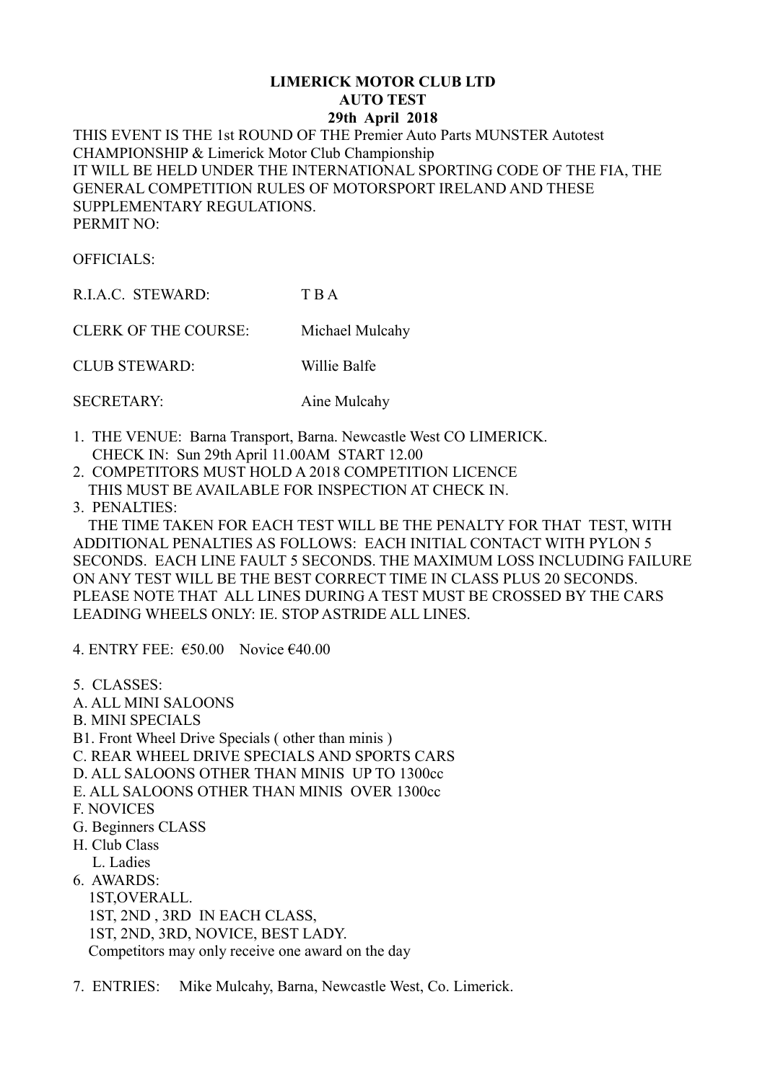## **LIMERICK MOTOR CLUB LTD AUTO TEST 29th April 2018**

THIS EVENT IS THE 1st ROUND OF THE Premier Auto Parts MUNSTER Autotest CHAMPIONSHIP & Limerick Motor Club Championship IT WILL BE HELD UNDER THE INTERNATIONAL SPORTING CODE OF THE FIA, THE GENERAL COMPETITION RULES OF MOTORSPORT IRELAND AND THESE SUPPLEMENTARY REGULATIONS. PERMIT NO:

OFFICIALS:

R.I.A.C. STEWARD: T B A

CLERK OF THE COURSE: Michael Mulcahy

CLUB STEWARD: Willie Balfe

SECRETARY: Aine Mulcahy

- 1. THE VENUE: Barna Transport, Barna. Newcastle West CO LIMERICK. CHECK IN: Sun 29th April 11.00AM START 12.00
- 2. COMPETITORS MUST HOLD A 2018 COMPETITION LICENCE THIS MUST BE AVAILABLE FOR INSPECTION AT CHECK IN.
- 3. PENALTIES:

 THE TIME TAKEN FOR EACH TEST WILL BE THE PENALTY FOR THAT TEST, WITH ADDITIONAL PENALTIES AS FOLLOWS: EACH INITIAL CONTACT WITH PYLON 5 SECONDS. EACH LINE FAULT 5 SECONDS. THE MAXIMUM LOSS INCLUDING FAILURE ON ANY TEST WILL BE THE BEST CORRECT TIME IN CLASS PLUS 20 SECONDS. PLEASE NOTE THAT ALL LINES DURING A TEST MUST BE CROSSED BY THE CARS LEADING WHEELS ONLY: IE. STOP ASTRIDE ALL LINES.

4. ENTRY FEE:  $\epsilon$ 50.00 Novice  $\epsilon$ 40.00

5. CLASSES:

- A. ALL MINI SALOONS
- B. MINI SPECIALS
- B1. Front Wheel Drive Specials ( other than minis )
- C. REAR WHEEL DRIVE SPECIALS AND SPORTS CARS
- D. ALL SALOONS OTHER THAN MINIS UP TO 1300cc
- E. ALL SALOONS OTHER THAN MINIS OVER 1300cc
- F. NOVICES
- G. Beginners CLASS
- H. Club Class
	- L. Ladies
- 6. AWARDS:
- 1ST,OVERALL. 1ST, 2ND , 3RD IN EACH CLASS, 1ST, 2ND, 3RD, NOVICE, BEST LADY. Competitors may only receive one award on the day
- 7. ENTRIES: Mike Mulcahy, Barna, Newcastle West, Co. Limerick.